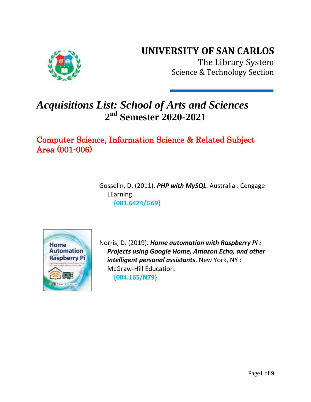## **UNIVERSITY OF SAN CARLOS**



The Library System Science & Technology Section

# *Acquisitions List: School of Arts and Sciences* **2 nd Semester 2020-2021**

Computer Science, Information Science & Related Subject Area (001-006)

> Gosselin, D. (2011). *PHP with MySQL*. Australia : Cengage LEarning.  **{001.6424/G69}**



Norris, D. (2019). *Home automation with Raspberry Pi : Projects using Google Home, Amazon Echo, and other intelligent personal assistants*. New York, NY : McGraw-Hill Education.  **{004.165/N79}**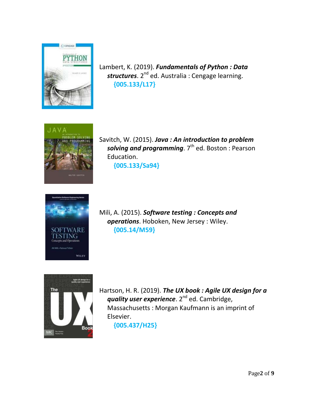

Lambert, K. (2019). *Fundamentals of Python : Data*  structures. 2<sup>nd</sup> ed. Australia : Cengage learning.  **{005.133/L17}**



Savitch, W. (2015). *Java : An introduction to problem*  solving and programming. 7<sup>th</sup> ed. Boston : Pearson Education.

 **{005.133/Sa94}**



Mili, A. (2015). *Software testing : Concepts and operations*. Hoboken, New Jersey : Wiley.  **{005.14/M59}**



Hartson, H. R. (2019). *The UX book : Agile UX design for a*  **quality user experience**. 2<sup>nd</sup> ed. Cambridge, Massachusetts : Morgan Kaufmann is an imprint of Elsevier.  **{005.437/H25}**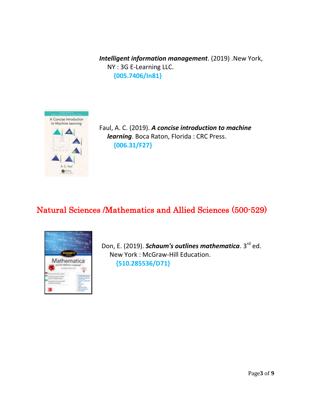*Intelligent information management*. (2019) .New York, NY : 3G E-Learning LLC.  **{005.7406/In81}**



Faul, A. C. (2019). *A concise introduction to machine learning*. Boca Raton, Florida : CRC Press.  **{006.31/F27}**

### Natural Sciences /Mathematics and Allied Sciences (500-529)



Don, E. (2019). *Schaum's outlines mathematica*. 3<sup>rd</sup> ed. New York : McGraw-Hill Education.  **{510.285536/D71}**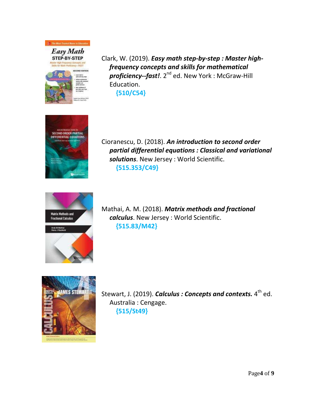

Clark, W. (2019). *Easy math step-by-step : Master high frequency concepts and skills for mathematical*  proficiency--fast!. 2<sup>nd</sup> ed. New York : McGraw-Hill Education.  **{510/C54}**



Cioranescu, D. (2018). *An introduction to second order partial differential equations : Classical and variational solutions*. New Jersey : World Scientific.  **{515.353/C49}**



Mathai, A. M. (2018). *Matrix methods and fractional calculus*. New Jersey : World Scientific.  **{515.83/M42}**



Stewart, J. (2019). *Calculus : Concepts and contexts.* 4<sup>th</sup> ed. Australia : Cengage.  **{515/St49}**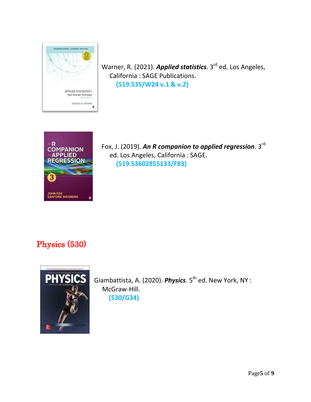

Warner, R. (2021). *Applied statistics*. 3<sup>rd</sup> ed. Los Angeles, California : SAGE Publications.  **{519.535/W24 v.1 & v.2}**



Fox, J. (2019). **An R companion to applied regression**. 3<sup>rd</sup> ed. Los Angeles, California : SAGE.  **{519.53602855133/F83}**

## Physics (530)



Giambattista, A. (2020). *Physics*. 5<sup>th</sup> ed. New York, NY : McGraw-Hill. **{530/G34}**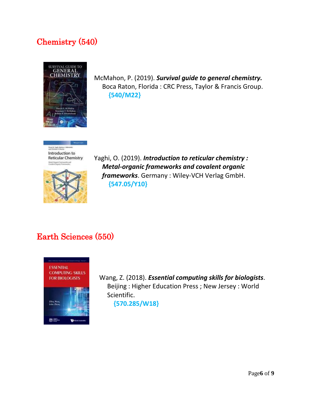### Chemistry (540)



McMahon, P. (2019). *Survival guide to general chemistry.* Boca Raton, Florida : CRC Press, Taylor & Francis Group.  **{540/M22}**





Yaghi, O. (2019). *Introduction to reticular chemistry : Metal-organic frameworks and covalent organic frameworks*. Germany : Wiley-VCH Verlag GmbH.  **{547.05/Y10}**

#### Earth Sciences (550)



Wang, Z. (2018). *Essential computing skills for biologists*. Beijing : Higher Education Press ; New Jersey : World Scientific.

 **{570.285/W18}**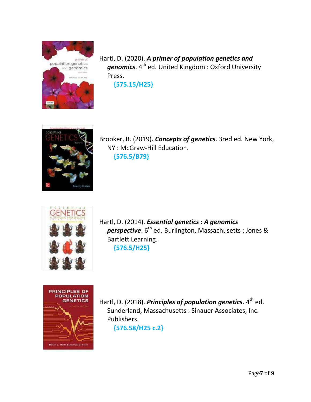

Hartl, D. (2020). *A primer of population genetics and*  genomics. 4<sup>th</sup> ed. United Kingdom : Oxford University Press.

**{575.15/H25}**



Brooker, R. (2019). *Concepts of genetics*. 3red ed. New York, NY : McGraw-Hill Education.  **{576.5/B79}**



Hartl, D. (2014). *Essential genetics : A genomics*  perspective. 6<sup>th</sup> ed. Burlington, Massachusetts : Jones & Bartlett Learning.

**{576.5/H25}**



Hartl, D. (2018). *Principles of population genetics*. 4<sup>th</sup> ed. Sunderland, Massachusetts : Sinauer Associates, Inc. Publishers. **{576.58/H25 c.2}**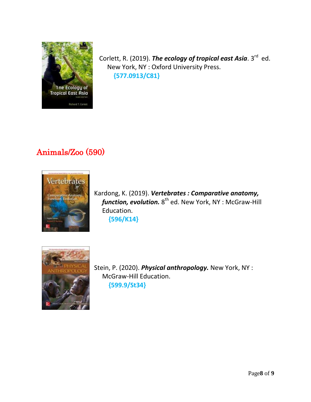

Corlett, R. (2019). *The ecology of tropical east Asia*. 3<sup>rd</sup> ed. New York, NY : Oxford University Press. **{577.0913/C81}**

## Animals/Zoo (590)



Kardong, K. (2019). *Vertebrates : Comparative anatomy,*  function, evolution. 8<sup>th</sup> ed. New York, NY : McGraw-Hill Education.  **{596/K14}**



Stein, P. (2020). *Physical anthropology.* New York, NY : McGraw-Hill Education.  **{599.9/St34}**